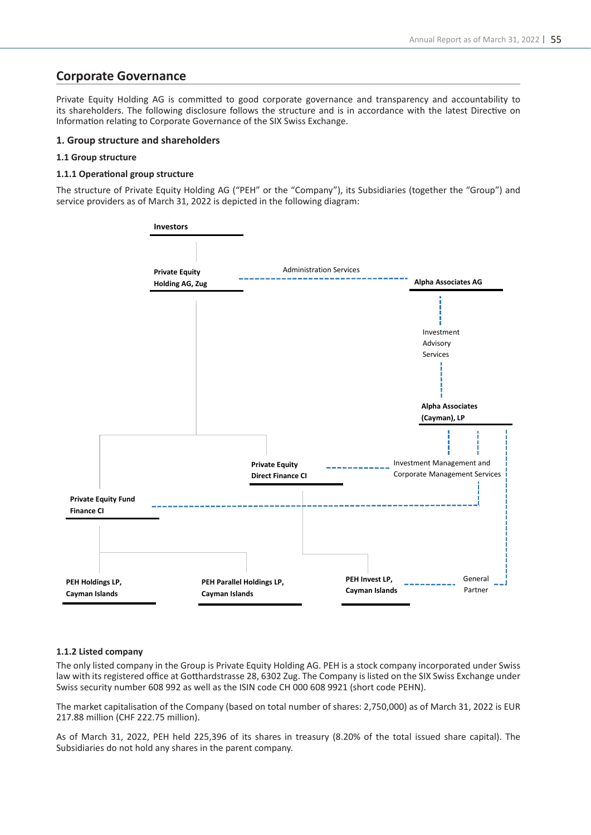# **Corporate Governance**

Private Equity Holding AG is committed to good corporate governance and transparency and accountability to its shareholders. The following disclosure follows the structure and is in accordance with the latest Directive on Information relating to Corporate Governance of the SIX Swiss Exchange.

# **1. Group structure and shareholders**

# **1.1 Group structure**

# **1.1.1 Operational group structure**

The structure of Private Equity Holding AG ("PEH" or the "Company"), its Subsidiaries (together the "Group") and service providers as of March 31, 2022 is depicted in the following diagram:



#### **1.1.2 Listed company**

The only listed company in the Group is Private Equity Holding AG. PEH is a stock company incorporated under Swiss law with its registered office at Gotthardstrasse 28, 6302 Zug. The Company is listed on the SIX Swiss Exchange under Swiss security number 608 992 as well as the ISIN code CH 000 608 9921 (short code PEHN).

The market capitalisation of the Company (based on total number of shares: 2,750,000) as of March 31, 2022 is EUR 217.88 million (CHF 222.75 million).

As of March 31, 2022, PEH held 225,396 of its shares in treasury (8.20% of the total issued share capital). The Subsidiaries do not hold any shares in the parent company.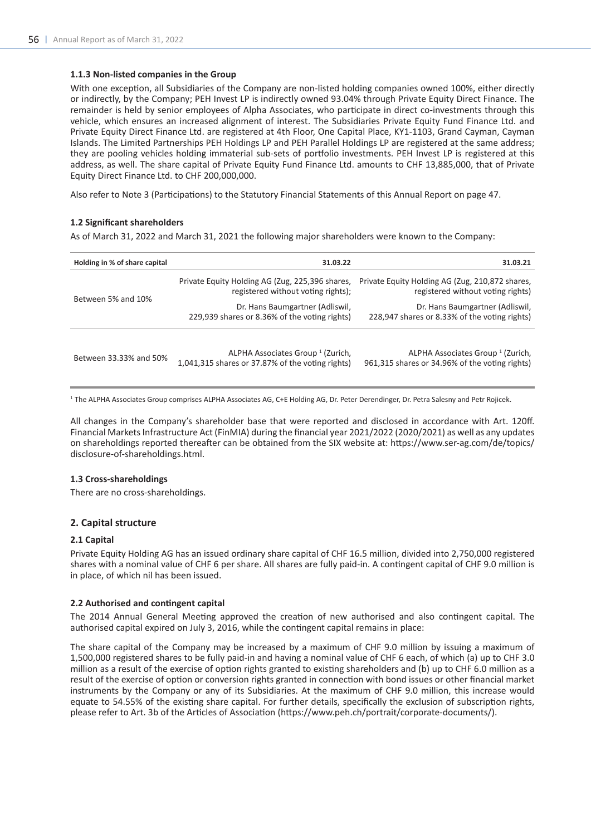# **1.1.3 Non-listed companies in the Group**

With one exception, all Subsidiaries of the Company are non-listed holding companies owned 100%, either directly or indirectly, by the Company; PEH Invest LP is indirectly owned 93.04% through Private Equity Direct Finance. The remainder is held by senior employees of Alpha Associates, who participate in direct co-investments through this vehicle, which ensures an increased alignment of interest. The Subsidiaries Private Equity Fund Finance Ltd. and Private Equity Direct Finance Ltd. are registered at 4th Floor, One Capital Place, KY1-1103, Grand Cayman, Cayman Islands. The Limited Partnerships PEH Holdings LP and PEH Parallel Holdings LP are registered at the same address; they are pooling vehicles holding immaterial sub-sets of portfolio investments. PEH Invest LP is registered at this address, as well. The share capital of Private Equity Fund Finance Ltd. amounts to CHF 13,885,000, that of Private Equity Direct Finance Ltd. to CHF 200,000,000.

Also refer to Note 3 (Participations) to the Statutory Financial Statements of this Annual Report on page 47.

#### **1.2 Significant shareholders**

As of March 31, 2022 and March 31, 2021 the following major shareholders were known to the Company:

| Holding in % of share capital | 31.03.22                                                                                         | 31.03.21                                                                                       |
|-------------------------------|--------------------------------------------------------------------------------------------------|------------------------------------------------------------------------------------------------|
| Between 5% and 10%            | Private Equity Holding AG (Zug, 225,396 shares,<br>registered without voting rights);            | Private Equity Holding AG (Zug, 210,872 shares,<br>registered without voting rights)           |
|                               | Dr. Hans Baumgartner (Adliswil,<br>229,939 shares or 8.36% of the voting rights)                 | Dr. Hans Baumgartner (Adliswil,<br>228,947 shares or 8.33% of the voting rights)               |
| Between 33.33% and 50%        | ALPHA Associates Group <sup>1</sup> (Zurich,<br>1,041,315 shares or 37.87% of the voting rights) | ALPHA Associates Group <sup>1</sup> (Zurich,<br>961,315 shares or 34.96% of the voting rights) |

<sup>1</sup> The ALPHA Associates Group comprises ALPHA Associates AG, C+E Holding AG, Dr. Peter Derendinger, Dr. Petra Salesny and Petr Rojicek.

All changes in the Company's shareholder base that were reported and disclosed in accordance with Art. 120ff. Financial Markets Infrastructure Act (FinMIA) during the financial year 2021/2022 (2020/2021) as well as any updates on shareholdings reported thereafter can be obtained from the SIX website at: https://www.ser-ag.com/de/topics/ disclosure-of-shareholdings.html.

#### **1.3 Cross-shareholdings**

There are no cross-shareholdings.

#### **2. Capital structure**

#### **2.1 Capital**

Private Equity Holding AG has an issued ordinary share capital of CHF 16.5 million, divided into 2,750,000 registered shares with a nominal value of CHF 6 per share. All shares are fully paid-in. A contingent capital of CHF 9.0 million is in place, of which nil has been issued.

#### **2.2 Authorised and contingent capital**

The 2014 Annual General Meeting approved the creation of new authorised and also contingent capital. The authorised capital expired on July 3, 2016, while the contingent capital remains in place:

The share capital of the Company may be increased by a maximum of CHF 9.0 million by issuing a maximum of 1,500,000 registered shares to be fully paid-in and having a nominal value of CHF 6 each, of which (a) up to CHF 3.0 million as a result of the exercise of option rights granted to existing shareholders and (b) up to CHF 6.0 million as a result of the exercise of option or conversion rights granted in connection with bond issues or other financial market instruments by the Company or any of its Subsidiaries. At the maximum of CHF 9.0 million, this increase would equate to 54.55% of the existing share capital. For further details, specifically the exclusion of subscription rights, please refer to Art. 3b of the Articles of Association (https://www.peh.ch/portrait/corporate-documents/).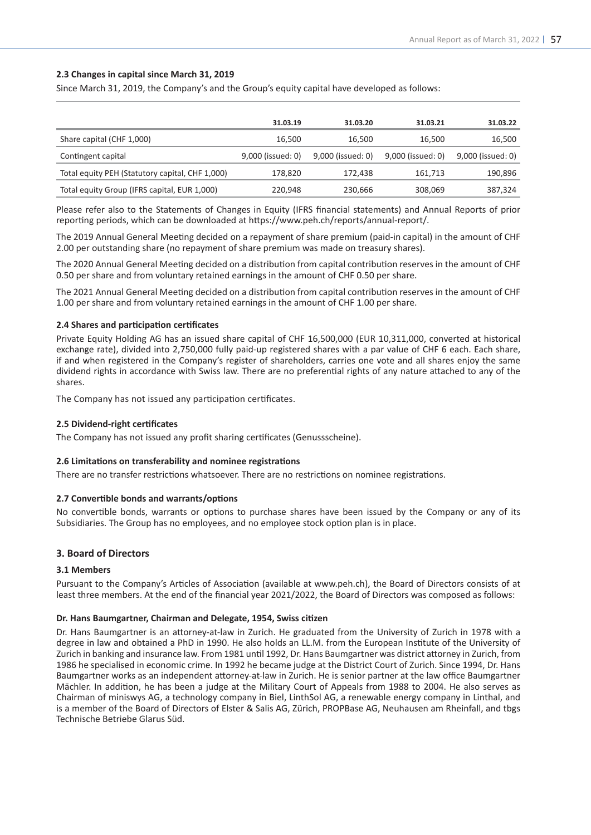# **2.3 Changes in capital since March 31, 2019**

Since March 31, 2019, the Company's and the Group's equity capital have developed as follows:

|                                                 | 31.03.19          | 31.03.20          | 31.03.21          | 31.03.22          |
|-------------------------------------------------|-------------------|-------------------|-------------------|-------------------|
| Share capital (CHF 1,000)                       | 16.500            | 16.500            | 16.500            | 16,500            |
| Contingent capital                              | 9,000 (issued: 0) | 9,000 (issued: 0) | 9,000 (issued: 0) | 9,000 (issued: 0) |
| Total equity PEH (Statutory capital, CHF 1,000) | 178.820           | 172.438           | 161.713           | 190,896           |
| Total equity Group (IFRS capital, EUR 1,000)    | 220,948           | 230,666           | 308,069           | 387,324           |

Please refer also to the Statements of Changes in Equity (IFRS financial statements) and Annual Reports of prior reporting periods, which can be downloaded at https://www.peh.ch/reports/annual-report/.

The 2019 Annual General Meeting decided on a repayment of share premium (paid-in capital) in the amount of CHF 2.00 per outstanding share (no repayment of share premium was made on treasury shares).

The 2020 Annual General Meeting decided on a distribution from capital contribution reserves in the amount of CHF 0.50 per share and from voluntary retained earnings in the amount of CHF 0.50 per share.

The 2021 Annual General Meeting decided on a distribution from capital contribution reserves in the amount of CHF 1.00 per share and from voluntary retained earnings in the amount of CHF 1.00 per share.

# **2.4 Shares and participation certificates**

Private Equity Holding AG has an issued share capital of CHF 16,500,000 (EUR 10,311,000, converted at historical exchange rate), divided into 2,750,000 fully paid-up registered shares with a par value of CHF 6 each. Each share, if and when registered in the Company's register of shareholders, carries one vote and all shares enjoy the same dividend rights in accordance with Swiss law. There are no preferential rights of any nature attached to any of the shares.

The Company has not issued any participation certificates.

# **2.5 Dividend-right certificates**

The Company has not issued any profit sharing certificates (Genussscheine).

# **2.6 Limitations on transferability and nominee registrations**

There are no transfer restrictions whatsoever. There are no restrictions on nominee registrations.

#### **2.7 Convertible bonds and warrants/options**

No convertible bonds, warrants or options to purchase shares have been issued by the Company or any of its Subsidiaries. The Group has no employees, and no employee stock option plan is in place.

# **3. Board of Directors**

#### **3.1 Members**

Pursuant to the Company's Articles of Association (available at www.peh.ch), the Board of Directors consists of at least three members. At the end of the financial year 2021/2022, the Board of Directors was composed as follows:

### **Dr. Hans Baumgartner, Chairman and Delegate, 1954, Swiss citizen**

Dr. Hans Baumgartner is an attorney-at-law in Zurich. He graduated from the University of Zurich in 1978 with a degree in law and obtained a PhD in 1990. He also holds an LL.M. from the European Institute of the University of Zurich in banking and insurance law. From 1981 until 1992, Dr. Hans Baumgartner was district attorney in Zurich, from 1986 he specialised in economic crime. In 1992 he became judge at the District Court of Zurich. Since 1994, Dr. Hans Baumgartner works as an independent attorney-at-law in Zurich. He is senior partner at the law office Baumgartner Mächler. In addition, he has been a judge at the Military Court of Appeals from 1988 to 2004. He also serves as Chairman of miniswys AG, a technology company in Biel, LinthSol AG, a renewable energy company in Linthal, and is a member of the Board of Directors of Elster & Salis AG, Zürich, PROPBase AG, Neuhausen am Rheinfall, and tbgs Technische Betriebe Glarus Süd.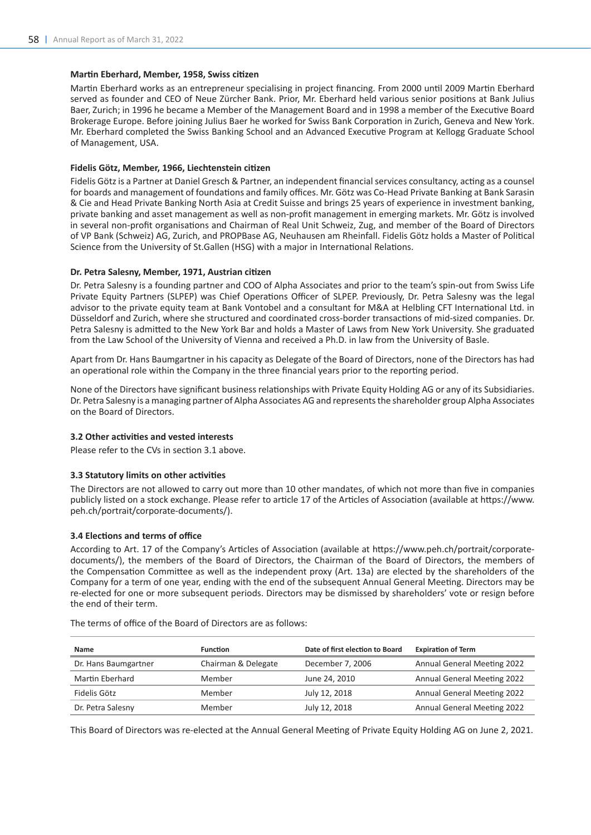# **Martin Eberhard, Member, 1958, Swiss citizen**

Martin Eberhard works as an entrepreneur specialising in project financing. From 2000 until 2009 Martin Eberhard served as founder and CEO of Neue Zürcher Bank. Prior, Mr. Eberhard held various senior positions at Bank Julius Baer, Zurich; in 1996 he became a Member of the Management Board and in 1998 a member of the Executive Board Brokerage Europe. Before joining Julius Baer he worked for Swiss Bank Corporation in Zurich, Geneva and New York. Mr. Eberhard completed the Swiss Banking School and an Advanced Executive Program at Kellogg Graduate School of Management, USA.

### **Fidelis Götz, Member, 1966, Liechtenstein citizen**

Fidelis Götz is a Partner at Daniel Gresch & Partner, an independent financial services consultancy, acting as a counsel for boards and management of foundations and family offices. Mr. Götz was Co-Head Private Banking at Bank Sarasin & Cie and Head Private Banking North Asia at Credit Suisse and brings 25 years of experience in investment banking, private banking and asset management as well as non-profit management in emerging markets. Mr. Götz is involved in several non-profit organisations and Chairman of Real Unit Schweiz, Zug, and member of the Board of Directors of VP Bank (Schweiz) AG, Zurich, and PROPBase AG, Neuhausen am Rheinfall. Fidelis Götz holds a Master of Political Science from the University of St.Gallen (HSG) with a major in International Relations.

# **Dr. Petra Salesny, Member, 1971, Austrian citizen**

Dr. Petra Salesny is a founding partner and COO of Alpha Associates and prior to the team's spin-out from Swiss Life Private Equity Partners (SLPEP) was Chief Operations Officer of SLPEP. Previously, Dr. Petra Salesny was the legal advisor to the private equity team at Bank Vontobel and a consultant for M&A at Helbling CFT International Ltd. in Düsseldorf and Zurich, where she structured and coordinated cross-border transactions of mid-sized companies. Dr. Petra Salesny is admitted to the New York Bar and holds a Master of Laws from New York University. She graduated from the Law School of the University of Vienna and received a Ph.D. in law from the University of Basle.

Apart from Dr. Hans Baumgartner in his capacity as Delegate of the Board of Directors, none of the Directors has had an operational role within the Company in the three financial years prior to the reporting period.

None of the Directors have significant business relationships with Private Equity Holding AG or any of its Subsidiaries. Dr. Petra Salesny is a managing partner of Alpha Associates AG and represents the shareholder group Alpha Associates on the Board of Directors.

#### **3.2 Other activities and vested interests**

Please refer to the CVs in section 3.1 above.

#### **3.3 Statutory limits on other activities**

The Directors are not allowed to carry out more than 10 other mandates, of which not more than five in companies publicly listed on a stock exchange. Please refer to article 17 of the Articles of Association (available at https://www. peh.ch/portrait/corporate-documents/).

# **3.4 Elections and terms of office**

According to Art. 17 of the Company's Articles of Association (available at https://www.peh.ch/portrait/corporatedocuments/), the members of the Board of Directors, the Chairman of the Board of Directors, the members of the Compensation Committee as well as the independent proxy (Art. 13a) are elected by the shareholders of the Company for a term of one year, ending with the end of the subsequent Annual General Meeting. Directors may be re-elected for one or more subsequent periods. Directors may be dismissed by shareholders' vote or resign before the end of their term.

| Name                   | <b>Function</b>     | Date of first election to Board | <b>Expiration of Term</b>          |
|------------------------|---------------------|---------------------------------|------------------------------------|
| Dr. Hans Baumgartner   | Chairman & Delegate | December 7, 2006                | <b>Annual General Meeting 2022</b> |
| <b>Martin Eberhard</b> | Member              | June 24, 2010                   | <b>Annual General Meeting 2022</b> |
| Fidelis Götz           | Member              | July 12, 2018                   | <b>Annual General Meeting 2022</b> |
| Dr. Petra Salesny      | Member              | July 12, 2018                   | <b>Annual General Meeting 2022</b> |

The terms of office of the Board of Directors are as follows:

This Board of Directors was re-elected at the Annual General Meeting of Private Equity Holding AG on June 2, 2021.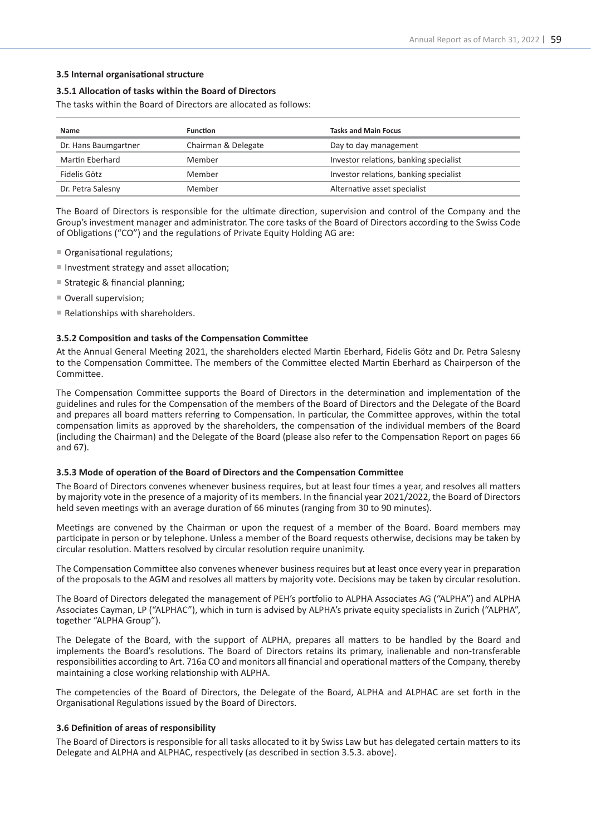# **3.5 Internal organisational structure**

#### **3.5.1 Allocation of tasks within the Board of Directors**

The tasks within the Board of Directors are allocated as follows:

| Name                 | <b>Function</b>     | <b>Tasks and Main Focus</b>            |
|----------------------|---------------------|----------------------------------------|
| Dr. Hans Baumgartner | Chairman & Delegate | Day to day management                  |
| Martin Eberhard      | Member              | Investor relations, banking specialist |
| Fidelis Götz         | Member              | Investor relations, banking specialist |
| Dr. Petra Salesny    | Member              | Alternative asset specialist           |

The Board of Directors is responsible for the ultimate direction, supervision and control of the Company and the Group's investment manager and administrator. The core tasks of the Board of Directors according to the Swiss Code of Obligations ("CO") and the regulations of Private Equity Holding AG are:

- Organisational regulations;
- Investment strategy and asset allocation;
- Strategic & financial planning;
- Overall supervision;
- $\blacksquare$  Relationships with shareholders.

#### **3.5.2 Composition and tasks of the Compensation Committee**

At the Annual General Meeting 2021, the shareholders elected Martin Eberhard, Fidelis Götz and Dr. Petra Salesny to the Compensation Committee. The members of the Committee elected Martin Eberhard as Chairperson of the Committee.

The Compensation Committee supports the Board of Directors in the determination and implementation of the guidelines and rules for the Compensation of the members of the Board of Directors and the Delegate of the Board and prepares all board matters referring to Compensation. In particular, the Committee approves, within the total compensation limits as approved by the shareholders, the compensation of the individual members of the Board (including the Chairman) and the Delegate of the Board (please also refer to the Compensation Report on pages 66 and 67).

#### **3.5.3 Mode of operation of the Board of Directors and the Compensation Committee**

The Board of Directors convenes whenever business requires, but at least four times a year, and resolves all matters by majority vote in the presence of a majority of its members. In the financial year 2021/2022, the Board of Directors held seven meetings with an average duration of 66 minutes (ranging from 30 to 90 minutes).

Meetings are convened by the Chairman or upon the request of a member of the Board. Board members may participate in person or by telephone. Unless a member of the Board requests otherwise, decisions may be taken by circular resolution. Matters resolved by circular resolution require unanimity.

The Compensation Committee also convenes whenever business requires but at least once every year in preparation of the proposals to the AGM and resolves all matters by majority vote. Decisions may be taken by circular resolution.

The Board of Directors delegated the management of PEH's portfolio to ALPHA Associates AG ("ALPHA") and ALPHA Associates Cayman, LP ("ALPHAC"), which in turn is advised by ALPHA's private equity specialists in Zurich ("ALPHA", together "ALPHA Group").

The Delegate of the Board, with the support of ALPHA, prepares all matters to be handled by the Board and implements the Board's resolutions. The Board of Directors retains its primary, inalienable and non-transferable responsibilities according to Art. 716a CO and monitors all financial and operational matters of the Company, thereby maintaining a close working relationship with ALPHA.

The competencies of the Board of Directors, the Delegate of the Board, ALPHA and ALPHAC are set forth in the Organisational Regulations issued by the Board of Directors.

#### **3.6 Definition of areas of responsibility**

The Board of Directors is responsible for all tasks allocated to it by Swiss Law but has delegated certain matters to its Delegate and ALPHA and ALPHAC, respectively (as described in section 3.5.3. above).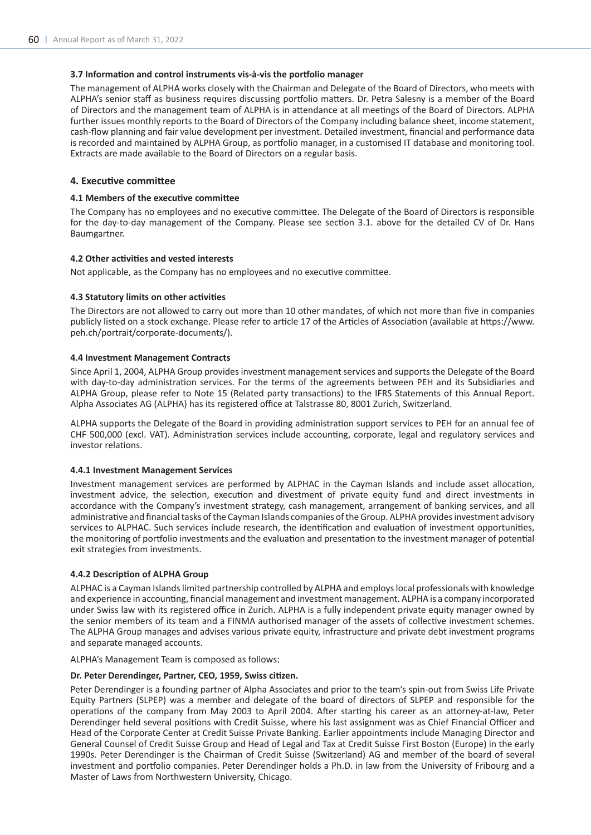# **3.7 Information and control instruments vis-à-vis the portfolio manager**

The management of ALPHA works closely with the Chairman and Delegate of the Board of Directors, who meets with ALPHA's senior staff as business requires discussing portfolio matters. Dr. Petra Salesny is a member of the Board of Directors and the management team of ALPHA is in attendance at all meetings of the Board of Directors. ALPHA further issues monthly reports to the Board of Directors of the Company including balance sheet, income statement, cash-flow planning and fair value development per investment. Detailed investment, financial and performance data is recorded and maintained by ALPHA Group, as portfolio manager, in a customised IT database and monitoring tool. Extracts are made available to the Board of Directors on a regular basis.

# **4. Executive committee**

### **4.1 Members of the executive committee**

The Company has no employees and no executive committee. The Delegate of the Board of Directors is responsible for the day-to-day management of the Company. Please see section 3.1. above for the detailed CV of Dr. Hans Baumgartner.

# **4.2 Other activities and vested interests**

Not applicable, as the Company has no employees and no executive committee.

# **4.3 Statutory limits on other activities**

The Directors are not allowed to carry out more than 10 other mandates, of which not more than five in companies publicly listed on a stock exchange. Please refer to article 17 of the Articles of Association (available at https://www. peh.ch/portrait/corporate-documents/).

# **4.4 Investment Management Contracts**

Since April 1, 2004, ALPHA Group provides investment management services and supports the Delegate of the Board with day-to-day administration services. For the terms of the agreements between PEH and its Subsidiaries and ALPHA Group, please refer to Note 15 (Related party transactions) to the IFRS Statements of this Annual Report. Alpha Associates AG (ALPHA) has its registered office at Talstrasse 80, 8001 Zurich, Switzerland.

ALPHA supports the Delegate of the Board in providing administration support services to PEH for an annual fee of CHF 500,000 (excl. VAT). Administration services include accounting, corporate, legal and regulatory services and investor relations.

#### **4.4.1 Investment Management Services**

Investment management services are performed by ALPHAC in the Cayman Islands and include asset allocation, investment advice, the selection, execution and divestment of private equity fund and direct investments in accordance with the Company's investment strategy, cash management, arrangement of banking services, and all administrative and financial tasks of the Cayman Islands companies of the Group. ALPHA provides investment advisory services to ALPHAC. Such services include research, the identification and evaluation of investment opportunities, the monitoring of portfolio investments and the evaluation and presentation to the investment manager of potential exit strategies from investments.

#### **4.4.2 Description of ALPHA Group**

ALPHAC is a Cayman Islands limited partnership controlled by ALPHA and employs local professionals with knowledge and experience in accounting, financial management and investment management. ALPHA is a company incorporated under Swiss law with its registered office in Zurich. ALPHA is a fully independent private equity manager owned by the senior members of its team and a FINMA authorised manager of the assets of collective investment schemes. The ALPHA Group manages and advises various private equity, infrastructure and private debt investment programs and separate managed accounts.

ALPHA's Management Team is composed as follows:

#### **Dr. Peter Derendinger, Partner, CEO, 1959, Swiss citizen.**

Peter Derendinger is a founding partner of Alpha Associates and prior to the team's spin-out from Swiss Life Private Equity Partners (SLPEP) was a member and delegate of the board of directors of SLPEP and responsible for the operations of the company from May 2003 to April 2004. After starting his career as an attorney-at-law, Peter Derendinger held several positions with Credit Suisse, where his last assignment was as Chief Financial Officer and Head of the Corporate Center at Credit Suisse Private Banking. Earlier appointments include Managing Director and General Counsel of Credit Suisse Group and Head of Legal and Tax at Credit Suisse First Boston (Europe) in the early 1990s. Peter Derendinger is the Chairman of Credit Suisse (Switzerland) AG and member of the board of several investment and portfolio companies. Peter Derendinger holds a Ph.D. in law from the University of Fribourg and a Master of Laws from Northwestern University, Chicago.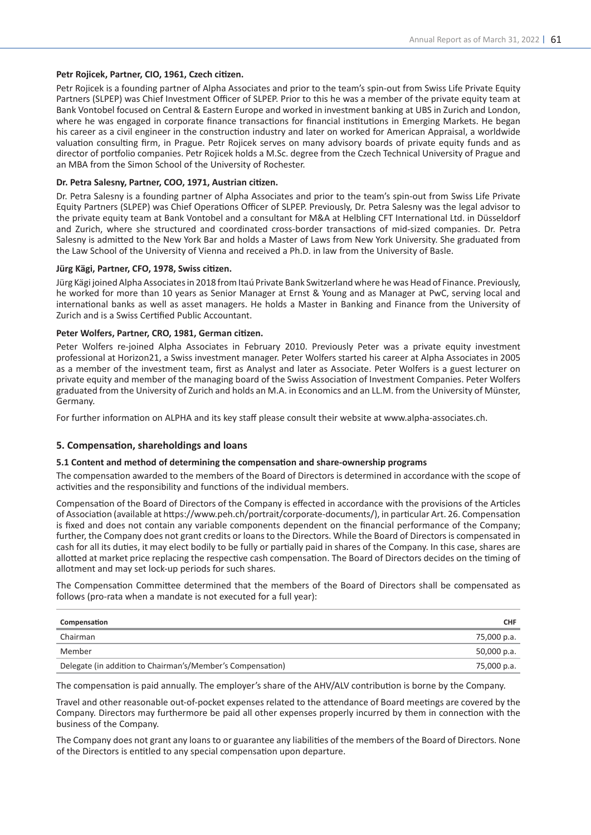# **Petr Rojicek, Partner, CIO, 1961, Czech citizen.**

Petr Rojicek is a founding partner of Alpha Associates and prior to the team's spin-out from Swiss Life Private Equity Partners (SLPEP) was Chief Investment Officer of SLPEP. Prior to this he was a member of the private equity team at Bank Vontobel focused on Central & Eastern Europe and worked in investment banking at UBS in Zurich and London, where he was engaged in corporate finance transactions for financial institutions in Emerging Markets. He began his career as a civil engineer in the construction industry and later on worked for American Appraisal, a worldwide valuation consulting firm, in Prague. Petr Rojicek serves on many advisory boards of private equity funds and as director of portfolio companies. Petr Rojicek holds a M.Sc. degree from the Czech Technical University of Prague and an MBA from the Simon School of the University of Rochester.

# **Dr. Petra Salesny, Partner, COO, 1971, Austrian citizen.**

Dr. Petra Salesny is a founding partner of Alpha Associates and prior to the team's spin-out from Swiss Life Private Equity Partners (SLPEP) was Chief Operations Officer of SLPEP. Previously, Dr. Petra Salesny was the legal advisor to the private equity team at Bank Vontobel and a consultant for M&A at Helbling CFT International Ltd. in Düsseldorf and Zurich, where she structured and coordinated cross-border transactions of mid-sized companies. Dr. Petra Salesny is admitted to the New York Bar and holds a Master of Laws from New York University. She graduated from the Law School of the University of Vienna and received a Ph.D. in law from the University of Basle.

#### **Jürg Kägi, Partner, CFO, 1978, Swiss citizen.**

Jürg Kägi joined Alpha Associates in 2018 from Itaú Private Bank Switzerland where he was Head of Finance. Previously, he worked for more than 10 years as Senior Manager at Ernst & Young and as Manager at PwC, serving local and international banks as well as asset managers. He holds a Master in Banking and Finance from the University of Zurich and is a Swiss Certified Public Accountant.

# **Peter Wolfers, Partner, CRO, 1981, German citizen.**

Peter Wolfers re-joined Alpha Associates in February 2010. Previously Peter was a private equity investment professional at Horizon21, a Swiss investment manager. Peter Wolfers started his career at Alpha Associates in 2005 as a member of the investment team, first as Analyst and later as Associate. Peter Wolfers is a guest lecturer on private equity and member of the managing board of the Swiss Association of Investment Companies. Peter Wolfers graduated from the University of Zurich and holds an M.A. in Economics and an LL.M. from the University of Münster, Germany.

For further information on ALPHA and its key staff please consult their website at www.alpha-associates.ch.

# **5. Compensation, shareholdings and loans**

#### **5.1 Content and method of determining the compensation and share-ownership programs**

The compensation awarded to the members of the Board of Directors is determined in accordance with the scope of activities and the responsibility and functions of the individual members.

Compensation of the Board of Directors of the Company is effected in accordance with the provisions of the Articles of Association (available at https://www.peh.ch/portrait/corporate-documents/), in particular Art. 26. Compensation is fixed and does not contain any variable components dependent on the financial performance of the Company; further, the Company does not grant credits or loans to the Directors. While the Board of Directors is compensated in cash for all its duties, it may elect bodily to be fully or partially paid in shares of the Company. In this case, shares are allotted at market price replacing the respective cash compensation. The Board of Directors decides on the timing of allotment and may set lock-up periods for such shares.

The Compensation Committee determined that the members of the Board of Directors shall be compensated as follows (pro-rata when a mandate is not executed for a full year):

| Compensation                                               | <b>CHF</b>  |
|------------------------------------------------------------|-------------|
| Chairman                                                   | 75,000 p.a. |
| Member                                                     | 50,000 p.a. |
| Delegate (in addition to Chairman's/Member's Compensation) | 75,000 p.a. |

The compensation is paid annually. The employer's share of the AHV/ALV contribution is borne by the Company.

Travel and other reasonable out-of-pocket expenses related to the attendance of Board meetings are covered by the Company. Directors may furthermore be paid all other expenses properly incurred by them in connection with the business of the Company.

The Company does not grant any loans to or guarantee any liabilities of the members of the Board of Directors. None of the Directors is entitled to any special compensation upon departure.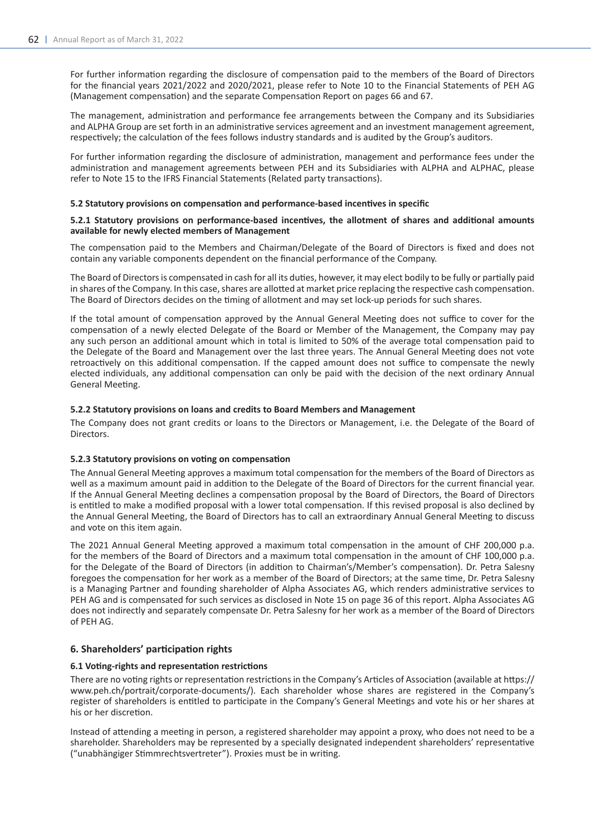For further information regarding the disclosure of compensation paid to the members of the Board of Directors for the financial years 2021/2022 and 2020/2021, please refer to Note 10 to the Financial Statements of PEH AG (Management compensation) and the separate Compensation Report on pages 66 and 67.

The management, administration and performance fee arrangements between the Company and its Subsidiaries and ALPHA Group are set forth in an administrative services agreement and an investment management agreement, respectively; the calculation of the fees follows industry standards and is audited by the Group's auditors.

For further information regarding the disclosure of administration, management and performance fees under the administration and management agreements between PEH and its Subsidiaries with ALPHA and ALPHAC, please refer to Note 15 to the IFRS Financial Statements (Related party transactions).

#### **5.2 Statutory provisions on compensation and performance-based incentives in specific**

### **5.2.1 Statutory provisions on performance-based incentives, the allotment of shares and additional amounts available for newly elected members of Management**

The compensation paid to the Members and Chairman/Delegate of the Board of Directors is fixed and does not contain any variable components dependent on the financial performance of the Company.

The Board of Directors is compensated in cash for all its duties, however, it may elect bodily to be fully or partially paid in shares of the Company. In this case, shares are allotted at market price replacing the respective cash compensation. The Board of Directors decides on the timing of allotment and may set lock-up periods for such shares.

If the total amount of compensation approved by the Annual General Meeting does not suffice to cover for the compensation of a newly elected Delegate of the Board or Member of the Management, the Company may pay any such person an additional amount which in total is limited to 50% of the average total compensation paid to the Delegate of the Board and Management over the last three years. The Annual General Meeting does not vote retroactively on this additional compensation. If the capped amount does not suffice to compensate the newly elected individuals, any additional compensation can only be paid with the decision of the next ordinary Annual General Meeting.

# **5.2.2 Statutory provisions on loans and credits to Board Members and Management**

The Company does not grant credits or loans to the Directors or Management, i.e. the Delegate of the Board of Directors.

#### **5.2.3 Statutory provisions on voting on compensation**

The Annual General Meeting approves a maximum total compensation for the members of the Board of Directors as well as a maximum amount paid in addition to the Delegate of the Board of Directors for the current financial year. If the Annual General Meeting declines a compensation proposal by the Board of Directors, the Board of Directors is entitled to make a modified proposal with a lower total compensation. If this revised proposal is also declined by the Annual General Meeting, the Board of Directors has to call an extraordinary Annual General Meeting to discuss and vote on this item again.

The 2021 Annual General Meeting approved a maximum total compensation in the amount of CHF 200,000 p.a. for the members of the Board of Directors and a maximum total compensation in the amount of CHF 100,000 p.a. for the Delegate of the Board of Directors (in addition to Chairman's/Member's compensation). Dr. Petra Salesny foregoes the compensation for her work as a member of the Board of Directors; at the same time, Dr. Petra Salesny is a Managing Partner and founding shareholder of Alpha Associates AG, which renders administrative services to PEH AG and is compensated for such services as disclosed in Note 15 on page 36 of this report. Alpha Associates AG does not indirectly and separately compensate Dr. Petra Salesny for her work as a member of the Board of Directors of PEH AG.

# **6. Shareholders' participation rights**

# **6.1 Voting-rights and representation restrictions**

There are no voting rights or representation restrictions in the Company's Articles of Association (available at https:// www.peh.ch/portrait/corporate-documents/). Each shareholder whose shares are registered in the Company's register of shareholders is entitled to participate in the Company's General Meetings and vote his or her shares at his or her discretion.

Instead of attending a meeting in person, a registered shareholder may appoint a proxy, who does not need to be a shareholder. Shareholders may be represented by a specially designated independent shareholders' representative ("unabhängiger Stimmrechtsvertreter"). Proxies must be in writing.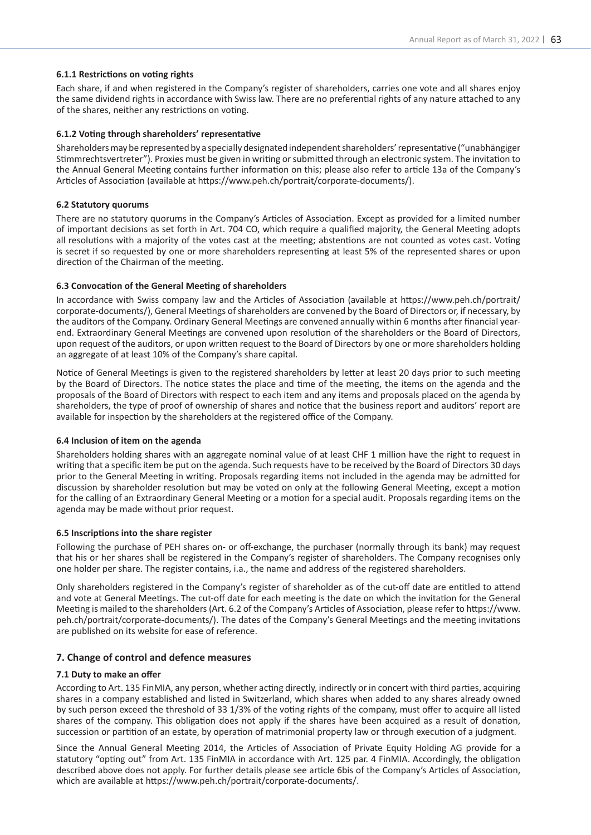# **6.1.1 Restrictions on voting rights**

Each share, if and when registered in the Company's register of shareholders, carries one vote and all shares enjoy the same dividend rights in accordance with Swiss law. There are no preferential rights of any nature attached to any of the shares, neither any restrictions on voting.

#### **6.1.2 Voting through shareholders' representative**

Shareholders may be represented by a specially designated independent shareholders' representative ("unabhängiger Stimmrechtsvertreter"). Proxies must be given in writing or submitted through an electronic system. The invitation to the Annual General Meeting contains further information on this; please also refer to article 13a of the Company's Articles of Association (available at https://www.peh.ch/portrait/corporate-documents/).

### **6.2 Statutory quorums**

There are no statutory quorums in the Company's Articles of Association. Except as provided for a limited number of important decisions as set forth in Art. 704 CO, which require a qualified majority, the General Meeting adopts all resolutions with a majority of the votes cast at the meeting; abstentions are not counted as votes cast. Voting is secret if so requested by one or more shareholders representing at least 5% of the represented shares or upon direction of the Chairman of the meeting.

# **6.3 Convocation of the General Meeting of shareholders**

In accordance with Swiss company law and the Articles of Association (available at https://www.peh.ch/portrait/ corporate-documents/), General Meetings of shareholders are convened by the Board of Directors or, if necessary, by the auditors of the Company. Ordinary General Meetings are convened annually within 6 months after financial yearend. Extraordinary General Meetings are convened upon resolution of the shareholders or the Board of Directors, upon request of the auditors, or upon written request to the Board of Directors by one or more shareholders holding an aggregate of at least 10% of the Company's share capital.

Notice of General Meetings is given to the registered shareholders by letter at least 20 days prior to such meeting by the Board of Directors. The notice states the place and time of the meeting, the items on the agenda and the proposals of the Board of Directors with respect to each item and any items and proposals placed on the agenda by shareholders, the type of proof of ownership of shares and notice that the business report and auditors' report are available for inspection by the shareholders at the registered office of the Company.

#### **6.4 Inclusion of item on the agenda**

Shareholders holding shares with an aggregate nominal value of at least CHF 1 million have the right to request in writing that a specific item be put on the agenda. Such requests have to be received by the Board of Directors 30 days prior to the General Meeting in writing. Proposals regarding items not included in the agenda may be admitted for discussion by shareholder resolution but may be voted on only at the following General Meeting, except a motion for the calling of an Extraordinary General Meeting or a motion for a special audit. Proposals regarding items on the agenda may be made without prior request.

#### **6.5 Inscriptions into the share register**

Following the purchase of PEH shares on- or off-exchange, the purchaser (normally through its bank) may request that his or her shares shall be registered in the Company's register of shareholders. The Company recognises only one holder per share. The register contains, i.a., the name and address of the registered shareholders.

Only shareholders registered in the Company's register of shareholder as of the cut-off date are entitled to attend and vote at General Meetings. The cut-off date for each meeting is the date on which the invitation for the General Meeting is mailed to the shareholders (Art. 6.2 of the Company's Articles of Association, please refer to https://www. peh.ch/portrait/corporate-documents/). The dates of the Company's General Meetings and the meeting invitations are published on its website for ease of reference.

# **7. Change of control and defence measures**

#### **7.1 Duty to make an offer**

According to Art. 135 FinMIA, any person, whether acting directly, indirectly or in concert with third parties, acquiring shares in a company established and listed in Switzerland, which shares when added to any shares already owned by such person exceed the threshold of 33 1/3% of the voting rights of the company, must offer to acquire all listed shares of the company. This obligation does not apply if the shares have been acquired as a result of donation, succession or partition of an estate, by operation of matrimonial property law or through execution of a judgment.

Since the Annual General Meeting 2014, the Articles of Association of Private Equity Holding AG provide for a statutory "opting out" from Art. 135 FinMIA in accordance with Art. 125 par. 4 FinMIA. Accordingly, the obligation described above does not apply. For further details please see article 6bis of the Company's Articles of Association, which are available at https://www.peh.ch/portrait/corporate-documents/.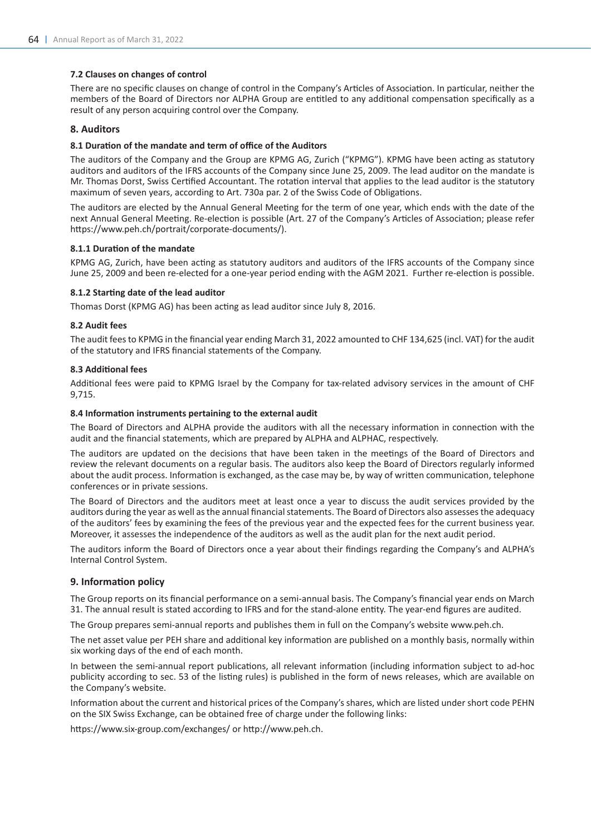# **7.2 Clauses on changes of control**

There are no specific clauses on change of control in the Company's Articles of Association. In particular, neither the members of the Board of Directors nor ALPHA Group are entitled to any additional compensation specifically as a result of any person acquiring control over the Company.

# **8. Auditors**

# **8.1 Duration of the mandate and term of office of the Auditors**

The auditors of the Company and the Group are KPMG AG, Zurich ("KPMG"). KPMG have been acting as statutory auditors and auditors of the IFRS accounts of the Company since June 25, 2009. The lead auditor on the mandate is Mr. Thomas Dorst, Swiss Certified Accountant. The rotation interval that applies to the lead auditor is the statutory maximum of seven years, according to Art. 730a par. 2 of the Swiss Code of Obligations.

The auditors are elected by the Annual General Meeting for the term of one year, which ends with the date of the next Annual General Meeting. Re-election is possible (Art. 27 of the Company's Articles of Association; please refer https://www.peh.ch/portrait/corporate-documents/).

# **8.1.1 Duration of the mandate**

KPMG AG, Zurich, have been acting as statutory auditors and auditors of the IFRS accounts of the Company since June 25, 2009 and been re-elected for a one-year period ending with the AGM 2021. Further re-election is possible.

# **8.1.2 Starting date of the lead auditor**

Thomas Dorst (KPMG AG) has been acting as lead auditor since July 8, 2016.

# **8.2 Audit fees**

The audit fees to KPMG in the financial year ending March 31, 2022 amounted to CHF 134,625 (incl. VAT) for the audit of the statutory and IFRS financial statements of the Company.

# **8.3 Additional fees**

Additional fees were paid to KPMG Israel by the Company for tax-related advisory services in the amount of CHF 9,715.

# **8.4 Information instruments pertaining to the external audit**

The Board of Directors and ALPHA provide the auditors with all the necessary information in connection with the audit and the financial statements, which are prepared by ALPHA and ALPHAC, respectively.

The auditors are updated on the decisions that have been taken in the meetings of the Board of Directors and review the relevant documents on a regular basis. The auditors also keep the Board of Directors regularly informed about the audit process. Information is exchanged, as the case may be, by way of written communication, telephone conferences or in private sessions.

The Board of Directors and the auditors meet at least once a year to discuss the audit services provided by the auditors during the year as well as the annual financial statements. The Board of Directors also assesses the adequacy of the auditors' fees by examining the fees of the previous year and the expected fees for the current business year. Moreover, it assesses the independence of the auditors as well as the audit plan for the next audit period.

The auditors inform the Board of Directors once a year about their findings regarding the Company's and ALPHA's Internal Control System.

# **9. Information policy**

The Group reports on its financial performance on a semi-annual basis. The Company's financial year ends on March 31. The annual result is stated according to IFRS and for the stand-alone entity. The year-end figures are audited.

The Group prepares semi-annual reports and publishes them in full on the Company's website www.peh.ch.

The net asset value per PEH share and additional key information are published on a monthly basis, normally within six working days of the end of each month.

In between the semi-annual report publications, all relevant information (including information subject to ad-hoc publicity according to sec. 53 of the listing rules) is published in the form of news releases, which are available on the Company's website.

Information about the current and historical prices of the Company's shares, which are listed under short code PEHN on the SIX Swiss Exchange, can be obtained free of charge under the following links:

https://www.six-group.com/exchanges/ or http://www.peh.ch.